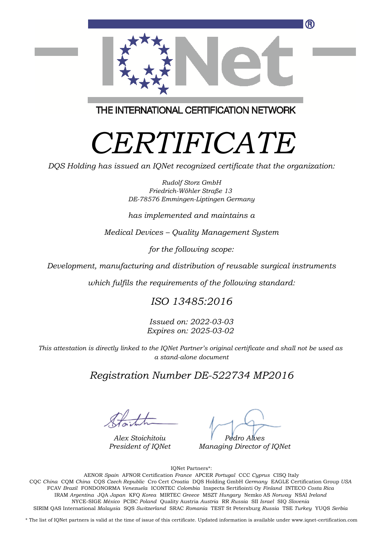

THE INTERNATIONAL CERTIFICATION NETWORK

# *CERTIFICATE*

*DQS Holding has issued an IQNet recognized certificate that the organization:*

*Rudolf Storz GmbH Friedrich-Wöhler Straße 13 DE-78576 Emmingen-Liptingen Germany*

*has implemented and maintains a*

*Medical Devices – Quality Management System*

*for the following scope:*

*Development, manufacturing and distribution of reusable surgical instruments*

*which fulfils the requirements of the following standard:*

### *ISO 13485:2016*

*Issued on: 2022-03-03 Expires on: 2025-03-02*

*This attestation is directly linked to the IQNet Partner's original certificate and shall not be used as a stand-alone document*

### *Registration Number DE-522734 MP2016*

*Alex Stoichitoiu President of IQNet*

*Pedro Alves*

*Managing Director of IQNet*

IQNet Partners\*:

This annex is only valid in connection with the above-mentioned certificate. FCAV *Brazil* FONDONORMA *Venezuela* ICONTEC *Colombia* Inspecta Sertifiointi Oy *Finland* INTECO *Costa Rica* AENOR *Spain* AFNOR Certification *France* APCER *Portugal* CCC *Cyprus* CISQ Italy CQC *China* CQM *China* CQS *Czech Republic* Cro Cert *Croatia* DQS Holding GmbH *Germany* EAGLE Certification Group *USA* IRAM *Argentina* JQA *Japan* KFQ *Korea* MIRTEC *Greece* MSZT *Hungary* Nemko AS *Norway* NSAI *Ireland* NYCE-SIGE *México* PCBC *Poland* Quality Austria *Austria* RR *Russia* SII *Israel* SIQ *Slovenia* SIRIM QAS International *Malaysia* SQS *Switzerland* SRAC *Romania* TEST St Petersburg *Russia* TSE *Turkey* YUQS *Serbia*

\* The list of IQNet partners is valid at the time of issue of this certificate. Updated information is available under www.iqnet-certification.com